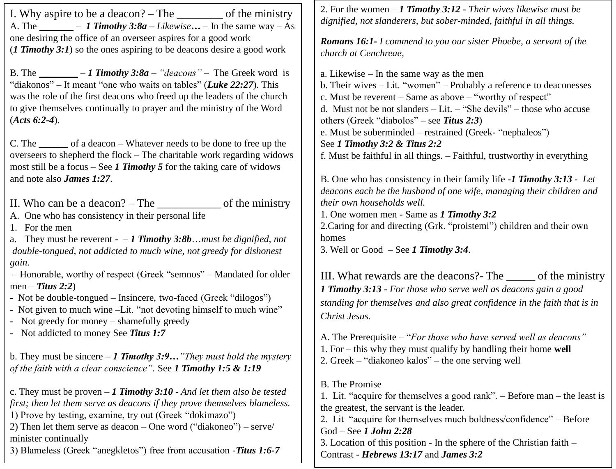I. Why aspire to be a deacon? – The \_\_\_\_\_\_\_\_ of the ministry A. The  $-$  *1 Timothy 3:8a – Likewise*  $...$  – In the same way – As one desiring the office of an overseer aspires for a good work (*1 Timothy 3:1*) so the ones aspiring to be deacons desire a good work

B. The \_\_\_\_\_\_\_\_ – *1 Timothy 3:8a – "deacons"* – The Greek word is "diakonos" – It meant "one who waits on tables" (*Luke 22:27*). This was the role of the first deacons who freed up the leaders of the church to give themselves continually to prayer and the ministry of the Word (*Acts 6:2-4*).

C. The of a deacon – Whatever needs to be done to free up the overseers to shepherd the flock – The charitable work regarding widows most still be a focus – See *1 Timothy 5* for the taking care of widows and note also *James 1:27*.

II. Who can be a deacon? – The \_\_\_\_\_\_\_\_\_\_\_ of the ministry

A. One who has consistency in their personal life

1. For the men

a. They must be reverent - – *1 Timothy 3:8b*…*must be dignified, not double-tongued, not addicted to much wine, not greedy for dishonest gain.* 

– Honorable, worthy of respect (Greek "semnos" – Mandated for older men – *Titus 2:2*)

- Not be double-tongued – Insincere, two-faced (Greek "dilogos")

- Not given to much wine –Lit. "not devoting himself to much wine"

- Not greedy for money – shamefully greedy

- Not addicted to money See *Titus 1:7*

b. They must be sincere – *1 Timothy 3:9…"They must hold the mystery of the faith with a clear conscience"*. See *1 Timothy 1:5 & 1:19*

c. They must be proven – *1 Timothy 3:10 - And let them also be tested first; then let them serve as deacons if they prove themselves blameless.*  1) Prove by testing, examine, try out (Greek "dokimazo") 2) Then let them serve as deacon – One word ("diakoneo") – serve/ minister continually

3) Blameless (Greek "anegkletos") free from accusation -*Titus 1:6-7*

2. For the women – *1 Timothy 3:12 - Their wives likewise must be dignified, not slanderers, but sober-minded, faithful in all things.* 

*Romans 16:1- I commend to you our sister Phoebe, a servant of the church at Cenchreae,* 

a. Likewise – In the same way as the men b. Their wives – Lit. "women" – Probably a reference to deaconesses c. Must be reverent – Same as above – "worthy of respect" d. Must not be not slanders – Lit. – "She devils" – those who accuse others (Greek "diabolos" – see *Titus 2:3*) e. Must be soberminded – restrained (Greek- "nephaleos") See *1 Timothy 3:2 & Titus 2:2* f. Must be faithful in all things. – Faithful, trustworthy in everything

B. One who has consistency in their family life -*1 Timothy 3:13 - Let deacons each be the husband of one wife, managing their children and their own households well.*  1. One women men - Same as *1 Timothy 3:2* 2.Caring for and directing (Grk. "proistemi") children and their own

homes

3. Well or Good – See *1 Timothy 3:4*.

III. What rewards are the deacons?- The \_\_\_\_\_ of the ministry *1 Timothy 3:13 - For those who serve well as deacons gain a good standing for themselves and also great confidence in the faith that is in Christ Jesus.* 

A. The Prerequisite – "*For those who have served well as deacons"* 1. For – this why they must qualify by handling their home **well** 2. Greek – "diakoneo kalos" – the one serving well

B. The Promise

1. Lit. "acquire for themselves a good rank". – Before man – the least is the greatest, the servant is the leader. 2. Lit "acquire for themselves much boldness/confidence" – Before God – See *1 John 2:28*

3. Location of this position - In the sphere of the Christian faith – Contrast - *Hebrews 13:17* and *James 3:2*